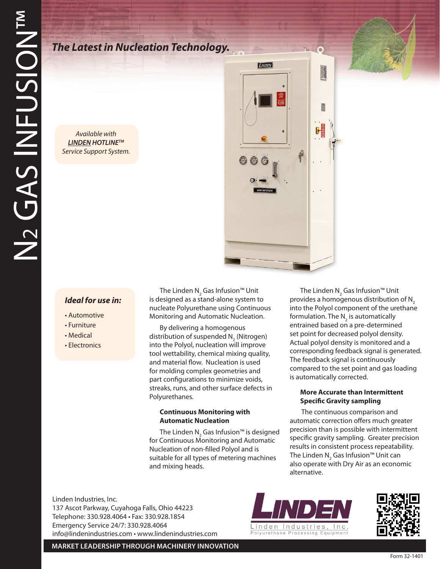# *The Latest in Nucleation Technology.*

*Available with LINDEN HOTLINETM Service Support System.*



## *Ideal for use in:*

- Automotive
- Furniture
- Medical
- Electronics

The Linden N<sub>2</sub> Gas Infusion™ Unit is designed as a stand-alone system to nucleate Polyurethane using Continuous Monitoring and Automatic Nucleation.

By delivering a homogenous distribution of suspended  $N_2$  (Nitrogen) into the Polyol, nucleation will improve tool wettability, chemical mixing quality, and material flow. Nucleation is used for molding complex geometries and part configurations to minimize voids, streaks, runs, and other surface defects in Polyurethanes.

#### **Continuous Monitoring with Automatic Nucleation**

The Linden  $\mathsf{N}_\mathsf{2}$  Gas Infusion™ is designed for Continuous Monitoring and Automatic Nucleation of non-filled Polyol and is suitable for all types of metering machines and mixing heads.

The Linden N<sub>2</sub> Gas Infusion™ Unit provides a homogenous distribution of  $N<sub>2</sub>$ into the Polyol component of the urethane formulation. The  $\mathsf{N}_{_2}$  is automatically entrained based on a pre-determined set point for decreased polyol density. Actual polyol density is monitored and a corresponding feedback signal is generated. The feedback signal is continuously compared to the set point and gas loading is automatically corrected.

#### **More Accurate than Intermittent Specific Gravity sampling**

 The continuous comparison and automatic correction offers much greater precision than is possible with intermittent specific gravity sampling. Greater precision results in consistent process repeatability. The Linden N $_2$  Gas Infusion™ Unit can also operate with Dry Air as an economic alternative.

Linden Industries, Inc. 137 Ascot Parkway, Cuyahoga Falls, Ohio 44223 Telephone: 330.928.4064 • Fax: 330.928.1854 Emergency Service 24/7: 330.928.4064 info@lindenindustries.com • www.lindenindustries.com





**MARKET LEADERSHIP THROUGH MACHINERY INNOVATION**